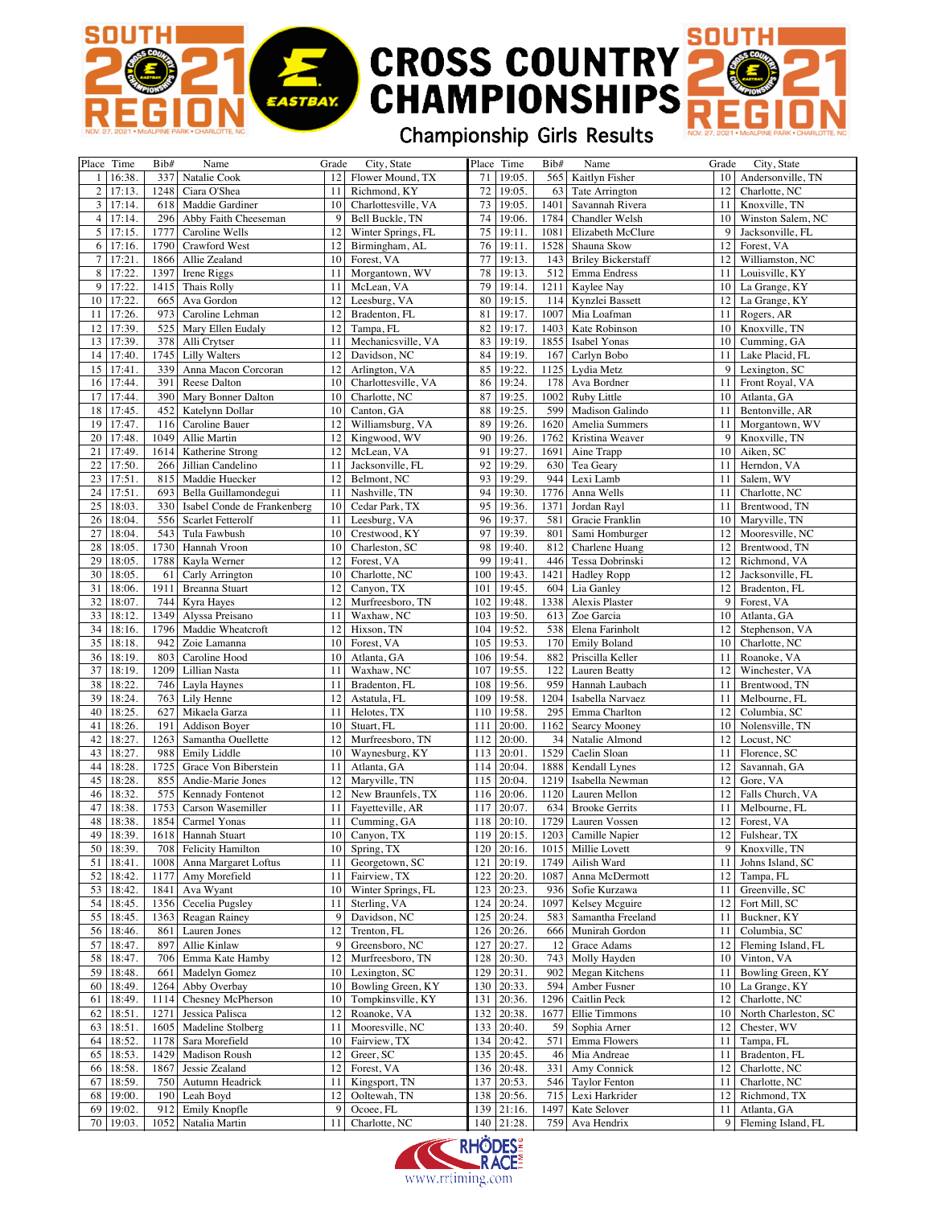## **SOUTH CROSS COUNTRY**<br>CHAMPIONSHIPS

## Championship Girls Results

SOUTH

EASTBAY.

| Place Time               | Bib# | Name                        | Grade           | City, State                |     | Place Time     | Bib# | Name                      | Grade           | City, State          |
|--------------------------|------|-----------------------------|-----------------|----------------------------|-----|----------------|------|---------------------------|-----------------|----------------------|
|                          | 337  |                             | 12              | Flower Mound, TX           | 71  | 19:05.         |      |                           | 10              | Andersonville, TN    |
| 16:38.<br>1 <sup>1</sup> |      | Natalie Cook                |                 |                            |     |                | 565  | Kaitlyn Fisher            |                 |                      |
| $\overline{2}$<br>17:13. | 1248 | Ciara O'Shea                | 11              | Richmond, KY               | 72  | 19:05.         | 63   | Tate Arrington            | 12              | Charlotte, NC        |
| 3<br>17:14.              | 618  | Maddie Gardiner             | 10              | Charlottesville, VA        | 73  | 19:05.         | 1401 | Savannah Rivera           | 11              | Knoxville, TN        |
| 4<br>17:14.              | 296  | Abby Faith Cheeseman        | 9               | Bell Buckle, TN            | 74  | 19:06.         | 1784 | Chandler Welsh            | 10              | Winston Salem, NC    |
| 5<br>17:15.              | 1777 | Caroline Wells              | 12              | Winter Springs, FL         | 75  | 19:11.         | 1081 | Elizabeth McClure         | 9               | Jacksonville, FL     |
|                          |      |                             |                 |                            |     |                |      |                           |                 |                      |
| 6<br>17:16               | 1790 | Crawford West               | 12              | Birmingham, AL             | 76  | 19:11          | 1528 | Shauna Skow               | 12              | Forest, VA           |
| 17:21<br>7               | 1866 | Allie Zealand               | 10              | Forest, VA                 | 77  | 19:13.         | 143  | <b>Briley Bickerstaff</b> | 12              | Williamston, NC      |
| 8<br>17:22.              | 1397 | Irene Riggs                 | 11              | Morgantown, WV             | 78  | 19:13.         |      | 512 Emma Endress          | 11              | Louisville, KY       |
| 9<br>17:22.              | 1415 | Thais Rolly                 | 11              | McLean, VA                 | 79  | 19:14.         | 1211 | Kaylee Nay                | 10              | La Grange, KY        |
| 17:22.<br>10             | 665  | Ava Gordon                  | 12              | Leesburg, VA               | 80  | 19:15.         |      | 114 Kynzlei Bassett       | 12              | La Grange, KY        |
|                          |      |                             |                 |                            |     |                |      |                           |                 |                      |
| 17:26.<br>11             | 973  | Caroline Lehman             | 12              | Bradenton, FL              | 81  | 19:17.         | 1007 | Mia Loafman               | 11              | Rogers, AR           |
| 17:39<br>12              | 525  | Mary Ellen Eudaly           | 12              | Tampa, FL                  | 82  | 19:17.         | 1403 | Kate Robinson             | 10              | Knoxville, TN        |
| 13<br>17:39.             | 378  | Alli Crytser                | 11              | Mechanicsville, VA         | 83  | 19:19.         | 1855 | Isabel Yonas              | 10              | Cumming, GA          |
| 14<br>17:40.             | 1745 | <b>Lilly Walters</b>        | 12              | Davidson, NC               | 84  | 19:19.         | 167  | Carlyn Bobo               | 11              | Lake Placid, FL      |
| 15<br>17:41              | 339  | Anna Macon Corcoran         | 12              | Arlington, VA              | 85  | 19:22.         |      | 1125 Lydia Metz           | 9               | Lexington, SC        |
|                          |      |                             |                 |                            |     |                |      |                           |                 |                      |
| 17:44.<br>16             | 391  | Reese Dalton                | 10              | Charlottesville, VA        | 86  | 19:24.         | 178  | Ava Bordner               | 11              | Front Royal, VA      |
| 17<br>17:44.             | 390  | Mary Bonner Dalton          | 10              | Charlotte, NC              | 87  | 19:25.         |      | 1002 Ruby Little          | 10              | Atlanta, GA          |
| 18<br>17:45.             | 452  | Katelynn Dollar             | 10              | Canton, GA                 | 88  | 19:25.         | 599  | Madison Galindo           | 11              | Bentonville, AR      |
| 19<br>17:47.             | 116  | Caroline Bauer              | 12              | Williamsburg, VA           | 89  | 19:26.         | 1620 | Amelia Summers            | 11              | Morgantown, WV       |
| 20<br>17:48.             | 1049 | Allie Martin                | 12              | Kingwood, WV               | 90  | 19:26.         | 1762 | Kristina Weaver           | 9               | Knoxville, TN        |
|                          |      |                             |                 |                            |     |                |      |                           |                 |                      |
| 17:49.<br>21             | 1614 | Katherine Strong            | 12              | McLean, VA                 | 91  | 19:27.         | 1691 | Aine Trapp                | 10              | Aiken, SC            |
| 22<br>17:50.             | 266  | Jillian Candelino           | 11              | Jacksonville, FL           | 92  | 19:29.         | 630  | Tea Geary                 | 11              | Herndon, VA          |
| 23<br>17:51.             | 815  | Maddie Huecker              | 12              | Belmont, NC                | 93  | 19:29.         | 944  | Lexi Lamb                 | 11              | Salem, WV            |
| 17:51<br>24              | 693  | Bella Guillamondegui        | 11              | Nashville, TN              | 94  | 19:30.         | 1776 | Anna Wells                | 11              | Charlotte, NC        |
| 25<br>18:03.             | 330  | Isabel Conde de Frankenberg | 10              | Cedar Park, TX             | 95  | 19:36.         | 1371 | Jordan Rayl               | 11              | Brentwood, TN        |
| 26                       |      |                             |                 |                            | 96  |                | 581  |                           |                 |                      |
| 18:04.                   | 556  | Scarlet Fetterolf           | 11              | Leesburg, VA               |     | 19:37.         |      | Gracie Franklin           | 10              | Maryville, TN        |
| 27<br>18:04.             | 543  | Tula Fawbush                | 10              | Crestwood, KY              | 97  | 19:39.         | 801  | Sami Homburger            | 12              | Mooresville, NC      |
| 18:05.<br>28             | 1730 | Hannah Vroon                | 10              | Charleston, SC             | 98  | 19:40.         | 812  | Charlene Huang            | 12              | Brentwood, TN        |
| 29<br>18:05.             | 1788 | Kayla Werner                | 12              | Forest, VA                 | 99  | 19:41.         | 446  | Tessa Dobrinski           | 12              | Richmond, VA         |
| 30<br>18:05.             | 61   | Carly Arrington             | 10              | Charlotte, NC              | 100 | 19:43.         | 1421 | <b>Hadley Ropp</b>        | 12              | Jacksonville, FL     |
| 31                       | 1911 |                             | 12              | Canyon, TX                 | 101 |                |      |                           |                 | Bradenton, FL        |
| 18:06.                   |      | Breanna Stuart              |                 |                            |     | 19:45.         | 604  | Lia Ganley                | 12              |                      |
| 32<br>18:07.             | 744  | Kyra Hayes                  | 12              | Murfreesboro, TN           | 102 | 19:48.         | 1338 | Alexis Plaster            | 9               | Forest, VA           |
| 33<br>18:12.             | 1349 | Alyssa Preisano             | 11              | Waxhaw, NC                 | 103 | 19:50.         | 613  | Zoe Garcia                | 10              | Atlanta, GA          |
| 34<br>18:16.             | 1796 | Maddie Wheatcroft           | 12              | Hixson, TN                 | 104 | 19:52.         | 538  | Elena Farinholt           | 12              | Stephenson, VA       |
| 35<br>18:18.             | 942  | Zoie Lamanna                | 10              | Forest, VA                 | 105 | 19:53.         |      | 170 Emily Boland          | 10              | Charlotte, NC        |
| 36<br>18:19.             | 803  | Caroline Hood               | 10              | Atlanta, GA                | 106 | 19:54.         | 882  | Priscilla Keller          | 11              | Roanoke, VA          |
|                          |      |                             |                 |                            |     |                |      |                           |                 |                      |
| 37<br>18:19.             | 1209 | Lillian Nasta               | 11              | Waxhaw, NC                 | 107 | 19:55.         | 122  | Lauren Beatty             | 12              | Winchester, VA       |
| 38<br>18:22.             | 746  | Layla Haynes                | 11              | Bradenton, FL              | 108 | 19:56.         | 959  | Hannah Laubach            | 11              | Brentwood, TN        |
| 39<br>18:24.             | 763  | Lily Henne                  | 12              | Astatula, FL               | 109 | 19:58.         | 1204 | Isabella Narvaez          | 11              | Melbourne, FL        |
| 40<br>18:25.             | 627  | Mikaela Garza               | 11              | Helotes, TX                | 110 | 19:58.         | 295  | Emma Charlton             | 12              | Columbia, SC         |
| 41<br>18:26.             | 191  | <b>Addison Boyer</b>        | 10              | Stuart, FL                 | 111 | 20:00.         | 1162 | Searcy Mooney             | 10              | Nolensville, TN      |
|                          |      |                             |                 |                            |     |                |      |                           |                 |                      |
| 18:27.<br>42             | 1263 | Samantha Ouellette          | 12              | Murfreesboro, TN           | 112 | 20:00.         | 34   | Natalie Almond            | 12              | Locust, NC           |
| 43<br>18:27.             | 988  | Emily Liddle                | 10 <sup>1</sup> | Waynesburg, KY             | 113 | 20:01          | 1529 | Caelin Sloan              | 11              | Florence, SC         |
| 44<br>18:28.             | 1725 | Grace Von Biberstein        | 11              | Atlanta, GA                | 114 | 20:04.         |      | 1888   Kendall Lynes      | 12              | Savannah, GA         |
| 45<br>18:28.             | 855  | Andie-Marie Jones           | 12              | Maryville, TN              | 115 | 20:04.         | 1219 | Isabella Newman           | 12              | Gore, VA             |
| 46<br>18:32.             | 575  | <b>Kennady Fontenot</b>     | 12              | New Braunfels, TX          | 116 | 20:06.         |      | 1120 Lauren Mellon        | 12              | Falls Church, VA     |
|                          |      |                             |                 |                            |     |                |      |                           |                 |                      |
| 18:38.<br>47             | 1753 | Carson Wasemiller           | 11              | Fayetteville, AR           | 117 | 20:07.         | 634  | <b>Brooke Gerrits</b>     | 11              | Melbourne, FL        |
| 48<br>18:38.             | 1854 | Carmel Yonas                | 11              | Cumming, GA                | 118 | 20:10.         |      | 1729 Lauren Vossen        | 12              | Forest, VA           |
| 49<br>18:39              |      | 1618 Hannah Stuart          |                 | $\overline{10}$ Canyon, TX |     | $119$   20:15. |      | 1203 Camille Napier       | 12 <sup>1</sup> | Fulshear, TX         |
| 50<br>18:39.             |      | 708 Felicity Hamilton       |                 | $10$ Spring, TX            |     | $120$ 20:16.   |      | 1015   Millie Lovett      | 9               | Knoxville, TN        |
| 51<br>18:41.             | 1008 | Anna Margaret Loftus        | 11              | Georgetown, SC             | 121 | 20:19.         | 1749 | Ailish Ward               | 11              | Johns Island, SC     |
|                          |      |                             |                 |                            |     |                |      |                           |                 |                      |
| 18:42.<br>52             | 1177 | Amy Morefield               | 11              | Fairview, TX               | 122 | 20:20.         | 1087 | Anna McDermott            | 12              | Tampa, FL            |
| 18:42.<br>53             | 1841 | Ava Wyant                   |                 | 10 Winter Springs, FL      |     | 123 20:23.     |      | 936 Sofie Kurzawa         | 11              | Greenville, SC       |
| 54<br>18:45.             | 1356 | Cecelia Pugsley             | 11              | Sterling, VA               | 124 | 20:24.         | 1097 | Kelsey Mcguire            | 12              | Fort Mill, SC        |
| 55<br>18:45.             | 1363 | Reagan Rainey               | 9               | Davidson, NC               | 125 | 20:24.         | 583  | Samantha Freeland         | 11              | Buckner, KY          |
| 56<br>18:46.             | 861  | Lauren Jones                | 12              | Trenton, FL                |     | 126 20:26.     |      | 666 Munirah Gordon        | 11              | Columbia, SC         |
|                          |      |                             |                 |                            |     |                |      |                           |                 |                      |
| 57<br>18:47.             | 897  | Allie Kinlaw                | 9               | Greensboro, NC             | 127 | 20:27.         | 12   | Grace Adams               | 12              | Fleming Island, FL   |
| 18:47.<br>58             | 706  | Emma Kate Hamby             | 12              | Murfreesboro, TN           |     | 128 20:30.     |      | 743 Molly Hayden          | 10 <sup>1</sup> | Vinton, VA           |
| 18:48.<br>59             | 661  | Madelyn Gomez               |                 | 10 Lexington, SC           | 129 | 20:31.         |      | 902 Megan Kitchens        | 11              | Bowling Green, KY    |
| 60<br>18:49.             | 1264 | Abby Overbay                | 10 <sup>1</sup> | Bowling Green, KY          |     | 130 20:33.     | 594  | Amber Fusner              | 10 <sub>1</sub> | La Grange, KY        |
| 18:49.<br>61             | 1114 | Chesney McPherson           | 10 <sup>1</sup> | Tompkinsville, KY          | 131 | 20:36.         | 1296 | Caitlin Peck              | 12              | Charlotte, NC        |
|                          |      |                             |                 |                            |     |                |      |                           |                 |                      |
| 18:51.<br>62             | 1271 | Jessica Palisca             | 12              | Roanoke, VA                |     | 132 20:38.     | 1677 | Ellie Timmons             | 10 <sup>1</sup> | North Charleston, SC |
| 18:51.<br>63             | 1605 | Madeline Stolberg           | 11              | Mooresville, NC            |     | 133 20:40.     |      | 59 Sophia Arner           | 12              | Chester, WV          |
| 18:52.<br>64             | 1178 | Sara Morefield              |                 | 10 Fairview, TX            |     | 134 20:42.     | 571  | Emma Flowers              | 11              | Tampa, FL            |
| 18:53.<br>65             | 1429 | Madison Roush               | 12              | Greer, SC                  |     | 135 20:45.     |      | 46 Mia Andreae            | 11              | Bradenton, FL        |
| 18:58.<br>66             | 1867 | Jessie Zealand              | 12              | Forest, VA                 |     | 136 20:48.     |      | 331 Amy Connick           | 12              | Charlotte, NC        |
|                          |      |                             |                 |                            |     |                |      |                           |                 |                      |
| 18:59.<br>67             | 750  | Autumn Headrick             | 11              | Kingsport, TN              |     | 137 20:53.     |      | 546 Taylor Fenton         | 11              | Charlotte, NC        |
| 68<br>19:00.             | 190  | Leah Boyd                   | 12              | Ooltewah, TN               |     | 138 20:56.     |      | 715 Lexi Harkrider        | 12              | Richmond, TX         |
| 69<br>19:02.             | 912  | Emily Knopfle               | 9 <sup>1</sup>  | Ocoee, FL                  |     | 139 21:16.     | 1497 | Kate Selover              | 11              | Atlanta, GA          |
| 19:03.<br>70             |      | 1052 Natalia Martin         | 11              | Charlotte, NC              |     | 140 21:28.     |      | 759 Ava Hendrix           | 9 <sup>2</sup>  | Fleming Island, FL   |